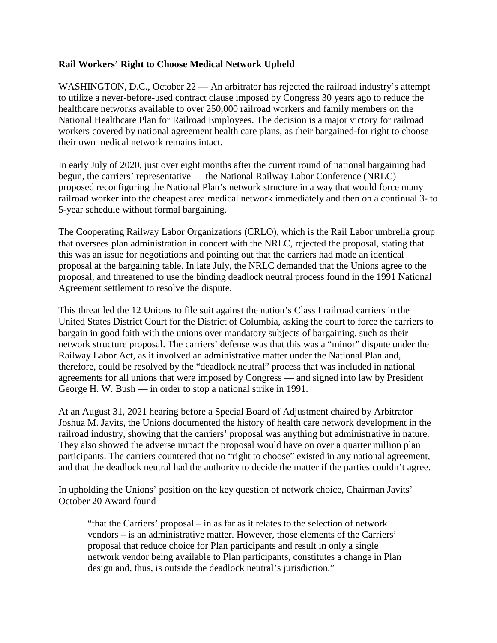## **Rail Workers' Right to Choose Medical Network Upheld**

WASHINGTON, D.C., October 22 — An arbitrator has rejected the railroad industry's attempt to utilize a never-before-used contract clause imposed by Congress 30 years ago to reduce the healthcare networks available to over 250,000 railroad workers and family members on the National Healthcare Plan for Railroad Employees. The decision is a major victory for railroad workers covered by national agreement health care plans, as their bargained-for right to choose their own medical network remains intact.

In early July of 2020, just over eight months after the current round of national bargaining had begun, the carriers' representative — the National Railway Labor Conference (NRLC) proposed reconfiguring the National Plan's network structure in a way that would force many railroad worker into the cheapest area medical network immediately and then on a continual 3- to 5-year schedule without formal bargaining.

The Cooperating Railway Labor Organizations (CRLO), which is the Rail Labor umbrella group that oversees plan administration in concert with the NRLC, rejected the proposal, stating that this was an issue for negotiations and pointing out that the carriers had made an identical proposal at the bargaining table. In late July, the NRLC demanded that the Unions agree to the proposal, and threatened to use the binding deadlock neutral process found in the 1991 National Agreement settlement to resolve the dispute.

This threat led the 12 Unions to file suit against the nation's Class I railroad carriers in the United States District Court for the District of Columbia, asking the court to force the carriers to bargain in good faith with the unions over mandatory subjects of bargaining, such as their network structure proposal. The carriers' defense was that this was a "minor" dispute under the Railway Labor Act, as it involved an administrative matter under the National Plan and, therefore, could be resolved by the "deadlock neutral" process that was included in national agreements for all unions that were imposed by Congress — and signed into law by President George H. W. Bush — in order to stop a national strike in 1991.

At an August 31, 2021 hearing before a Special Board of Adjustment chaired by Arbitrator Joshua M. Javits, the Unions documented the history of health care network development in the railroad industry, showing that the carriers' proposal was anything but administrative in nature. They also showed the adverse impact the proposal would have on over a quarter million plan participants. The carriers countered that no "right to choose" existed in any national agreement, and that the deadlock neutral had the authority to decide the matter if the parties couldn't agree.

In upholding the Unions' position on the key question of network choice, Chairman Javits' October 20 Award found

"that the Carriers' proposal – in as far as it relates to the selection of network vendors – is an administrative matter. However, those elements of the Carriers' proposal that reduce choice for Plan participants and result in only a single network vendor being available to Plan participants, constitutes a change in Plan design and, thus, is outside the deadlock neutral's jurisdiction."